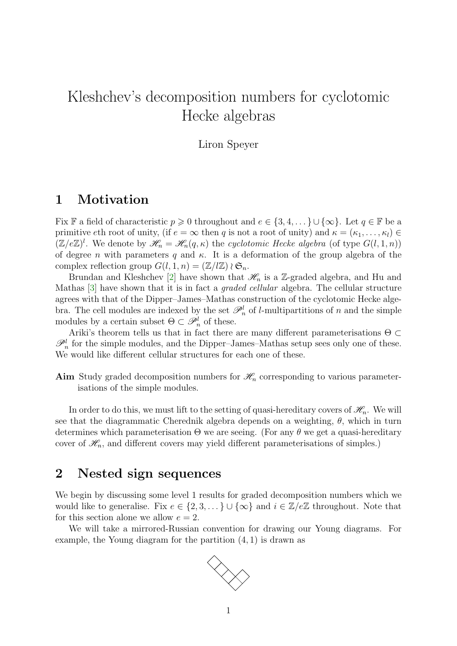# <span id="page-0-0"></span>Kleshchev's decomposition numbers for cyclotomic Hecke algebras

Liron Speyer

## 1 Motivation

Fix F a field of characteristic  $p \geq 0$  throughout and  $e \in \{3, 4, \dots\} \cup \{\infty\}$ . Let  $q \in \mathbb{F}$  be a primitive eth root of unity, (if  $e = \infty$  then q is not a root of unity) and  $\kappa = (\kappa_1, \ldots, \kappa_l) \in$  $(\mathbb{Z}/e\mathbb{Z})^l$ . We denote by  $\mathscr{H}_n = \mathscr{H}_n(q,\kappa)$  the cyclotomic Hecke algebra (of type  $G(l,1,n)$ ) of degree *n* with parameters q and  $\kappa$ . It is a deformation of the group algebra of the complex reflection group  $G(l, 1, n) = (\mathbb{Z}/l\mathbb{Z}) \wr \mathfrak{S}_n$ .

Brundan and Kleshchev [\[2\]](#page-10-0) have shown that  $\mathcal{H}_n$  is a Z-graded algebra, and Hu and Mathas [\[3\]](#page-10-1) have shown that it is in fact a graded cellular algebra. The cellular structure agrees with that of the Dipper–James–Mathas construction of the cyclotomic Hecke algebra. The cell modules are indexed by the set  $\mathcal{P}_n^l$  of *l*-multipartitions of *n* and the simple modules by a certain subset  $\Theta \subset \mathscr{P}_n^l$  of these.

Ariki's theorem tells us that in fact there are many different parameterisations  $\Theta \subset$  $\mathscr{P}_n^l$  for the simple modules, and the Dipper–James–Mathas setup sees only one of these. We would like different cellular structures for each one of these.

Aim Study graded decomposition numbers for  $\mathcal{H}_n$  corresponding to various parameterisations of the simple modules.

In order to do this, we must lift to the setting of quasi-hereditary covers of  $\mathcal{H}_n$ . We will see that the diagrammatic Cherednik algebra depends on a weighting,  $\theta$ , which in turn determines which parameterisation  $\Theta$  we are seeing. (For any  $\theta$  we get a quasi-hereditary cover of  $\mathcal{H}_n$ , and different covers may yield different parameterisations of simples.)

### 2 Nested sign sequences

We begin by discussing some level 1 results for graded decomposition numbers which we would like to generalise. Fix  $e \in \{2, 3, ...\} \cup \{\infty\}$  and  $i \in \mathbb{Z}/e\mathbb{Z}$  throughout. Note that for this section alone we allow  $e = 2$ .

We will take a mirrored-Russian convention for drawing our Young diagrams. For example, the Young diagram for the partition (4, 1) is drawn as

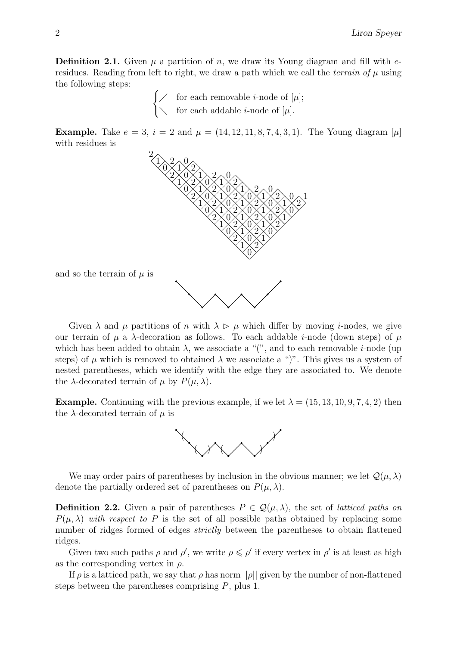**Definition 2.1.** Given  $\mu$  a partition of n, we draw its Young diagram and fill with eresidues. Reading from left to right, we draw a path which we call the *terrain of*  $\mu$  using the following steps:

> $\int \diagup$  for each removable *i*-node of [ $\mu$ ];  $\setminus$  for each addable *i*-node of [ $\mu$ ].

**Example.** Take  $e = 3$ ,  $i = 2$  and  $\mu = (14, 12, 11, 8, 7, 4, 3, 1)$ . The Young diagram  $[\mu]$ with residues is



Given  $\lambda$  and  $\mu$  partitions of n with  $\lambda \geq \mu$  which differ by moving i-nodes, we give our terrain of  $\mu$  a  $\lambda$ -decoration as follows. To each addable *i*-node (down steps) of  $\mu$ which has been added to obtain  $\lambda$ , we associate a "(", and to each removable *i*-node (up steps) of  $\mu$  which is removed to obtained  $\lambda$  we associate a ")". This gives us a system of nested parentheses, which we identify with the edge they are associated to. We denote the  $\lambda$ -decorated terrain of  $\mu$  by  $P(\mu, \lambda)$ .

**Example.** Continuing with the previous example, if we let  $\lambda = (15, 13, 10, 9, 7, 4, 2)$  then the  $\lambda$ -decorated terrain of  $\mu$  is



We may order pairs of parentheses by inclusion in the obvious manner; we let  $\mathcal{Q}(\mu,\lambda)$ denote the partially ordered set of parentheses on  $P(\mu, \lambda)$ .

**Definition 2.2.** Given a pair of parentheses  $P \in \mathcal{Q}(\mu, \lambda)$ , the set of *latticed paths on*  $P(\mu, \lambda)$  with respect to P is the set of all possible paths obtained by replacing some number of ridges formed of edges *strictly* between the parentheses to obtain flattened ridges.

Given two such paths  $\rho$  and  $\rho'$ , we write  $\rho \leq \rho'$  if every vertex in  $\rho'$  is at least as high as the corresponding vertex in  $\rho$ .

If  $\rho$  is a latticed path, we say that  $\rho$  has norm  $||\rho||$  given by the number of non-flattened steps between the parentheses comprising  $P$ , plus 1.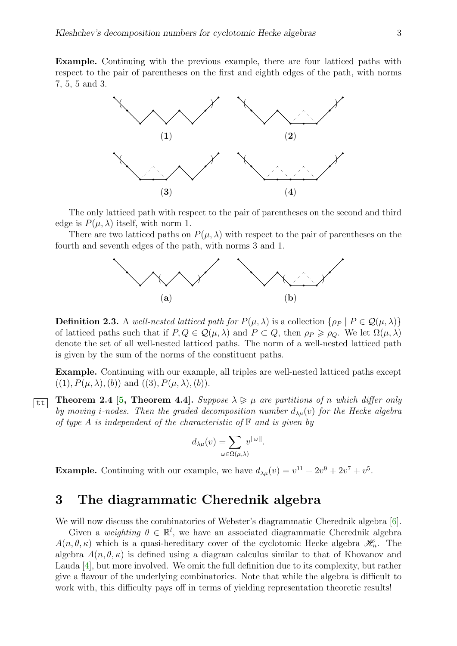<span id="page-2-1"></span>Example. Continuing with the previous example, there are four latticed paths with respect to the pair of parentheses on the first and eighth edges of the path, with norms 7, 5, 5 and 3.



The only latticed path with respect to the pair of parentheses on the second and third edge is  $P(\mu, \lambda)$  itself, with norm 1.

There are two latticed paths on  $P(\mu, \lambda)$  with respect to the pair of parentheses on the fourth and seventh edges of the path, with norms 3 and 1.



**Definition 2.3.** A well-nested latticed path for  $P(\mu, \lambda)$  is a collection  $\{\rho_P \mid P \in \mathcal{Q}(\mu, \lambda)\}\$ of latticed paths such that if  $P, Q \in \mathcal{Q}(\mu, \lambda)$  and  $P \subset Q$ , then  $\rho_P \geq \rho_Q$ . We let  $\Omega(\mu, \lambda)$ denote the set of all well-nested latticed paths. The norm of a well-nested latticed path is given by the sum of the norms of the constituent paths.

Example. Continuing with our example, all triples are well-nested latticed paths except  $((1), P(\mu, \lambda), (b))$  and  $((3), P(\mu, \lambda), (b)).$ 

<span id="page-2-0"></span>**Theorem 2.4 [\[5,](#page-10-2) Theorem 4.4].** Suppose  $\lambda \geq \mu$  are partitions of n which differ only by moving *i*-nodes. Then the graded decomposition number  $d_{\lambda\mu}(v)$  for the Hecke algebra of type A is independent of the characteristic of  $\mathbb F$  and is given by

$$
d_{\lambda\mu}(v) = \sum_{\omega \in \Omega(\mu,\lambda)} v^{\|\omega\|}.
$$

**Example.** Continuing with our example, we have  $d_{\lambda\mu}(v) = v^{11} + 2v^9 + 2v^7 + v^5$ .

#### 3 The diagrammatic Cherednik algebra

We will now discuss the combinatorics of Webster's diagrammatic Cherednik algebra [\[6\]](#page-10-3).

Given a weighting  $\theta \in \mathbb{R}^l$ , we have an associated diagrammatic Cherednik algebra  $A(n, \theta, \kappa)$  which is a quasi-hereditary cover of the cyclotomic Hecke algebra  $\mathscr{H}_n$ . The algebra  $A(n, \theta, \kappa)$  is defined using a diagram calculus similar to that of Khovanov and Lauda [\[4\]](#page-10-4), but more involved. We omit the full definition due to its complexity, but rather give a flavour of the underlying combinatorics. Note that while the algebra is difficult to work with, this difficulty pays off in terms of yielding representation theoretic results!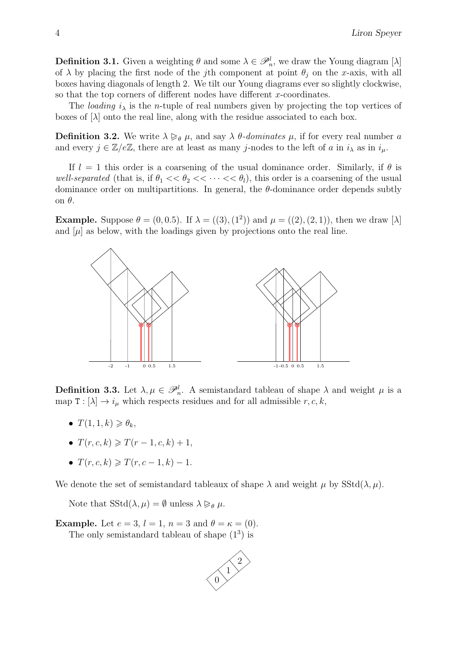**Definition 3.1.** Given a weighting  $\theta$  and some  $\lambda \in \mathcal{P}_n^l$ , we draw the Young diagram [ $\lambda$ ] of  $\lambda$  by placing the first node of the jth component at point  $\theta_j$  on the x-axis, with all boxes having diagonals of length 2. We tilt our Young diagrams ever so slightly clockwise, so that the top corners of different nodes have different  $x$ -coordinates.

The *loading*  $i_{\lambda}$  is the *n*-tuple of real numbers given by projecting the top vertices of boxes of  $|\lambda|$  onto the real line, along with the residue associated to each box.

**Definition 3.2.** We write  $\lambda \geq_{\theta} \mu$ , and say  $\lambda \theta$ -dominates  $\mu$ , if for every real number a and every  $j \in \mathbb{Z}/e\mathbb{Z}$ , there are at least as many j-nodes to the left of a in  $i_{\lambda}$  as in  $i_{\mu}$ .

If  $l = 1$  this order is a coarsening of the usual dominance order. Similarly, if  $\theta$  is well-separated (that is, if  $\theta_1 \ll \theta_2 \ll \cdots \ll \theta_l$ ), this order is a coarsening of the usual dominance order on multipartitions. In general, the  $\theta$ -dominance order depends subtly on θ.

**Example.** Suppose  $\theta = (0, 0.5)$ . If  $\lambda = ((3), (1^2))$  and  $\mu = ((2), (2, 1))$ , then we draw [ $\lambda$ ] and  $[\mu]$  as below, with the loadings given by projections onto the real line.



**Definition 3.3.** Let  $\lambda, \mu \in \mathcal{P}_n^l$ . A semistandard tableau of shape  $\lambda$  and weight  $\mu$  is a map  $T : [\lambda] \to i_{\mu}$  which respects residues and for all admissible r, c, k,

- $T(1, 1, k) \geq \theta_k$
- $T(r, c, k) \geq T(r 1, c, k) + 1$
- $T(r, c, k) \geqslant T(r, c 1, k) 1.$

We denote the set of semistandard tableaux of shape  $\lambda$  and weight  $\mu$  by SStd( $\lambda, \mu$ ).

Note that  $SStd(\lambda, \mu) = \emptyset$  unless  $\lambda \geq_{\theta} \mu$ .

**Example.** Let  $e = 3$ ,  $l = 1$ ,  $n = 3$  and  $\theta = \kappa = (0)$ .

The only semistandard tableau of shape  $(1^3)$  is

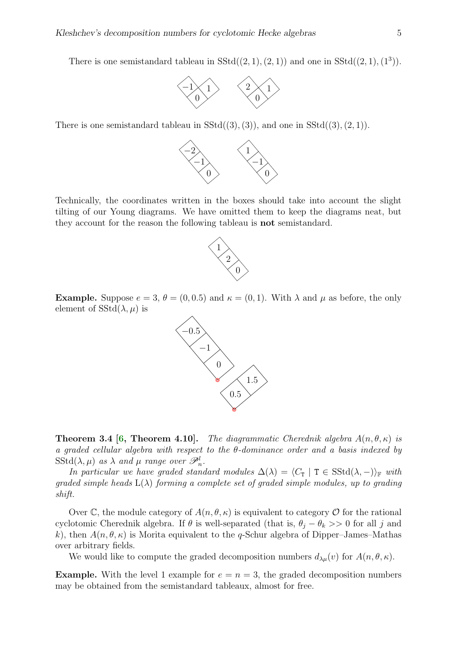<span id="page-4-0"></span>There is one semistandard tableau in  $SStd((2,1),(2,1))$  and one in  $SStd((2,1),(1^3))$ .



There is one semistandard tableau in  $SStd((3), (3))$ , and one in  $SStd((3), (2, 1))$ .



Technically, the coordinates written in the boxes should take into account the slight tilting of our Young diagrams. We have omitted them to keep the diagrams neat, but they account for the reason the following tableau is not semistandard.



**Example.** Suppose  $e = 3$ ,  $\theta = (0, 0.5)$  and  $\kappa = (0, 1)$ . With  $\lambda$  and  $\mu$  as before, the only element of  $SStd(\lambda, \mu)$  is



**Theorem 3.4 [\[6,](#page-10-3) Theorem 4.10].** The diagrammatic Cherednik algebra  $A(n, \theta, \kappa)$  is a graded cellular algebra with respect to the  $\theta$ -dominance order and a basis indexed by  $\mathrm{SStd}(\lambda, \mu)$  as  $\lambda$  and  $\mu$  range over  $\mathscr{P}_n^l$ .

In particular we have graded standard modules  $\Delta(\lambda) = \langle C_\mathbf{T} | T \in SStd(\lambda, -)\rangle_{\mathbb{F}}$  with graded simple heads  $L(\lambda)$  forming a complete set of graded simple modules, up to grading shift.

Over C, the module category of  $A(n, \theta, \kappa)$  is equivalent to category O for the rational cyclotomic Cherednik algebra. If  $\theta$  is well-separated (that is,  $\theta_i - \theta_k >> 0$  for all j and k), then  $A(n, \theta, \kappa)$  is Morita equivalent to the q-Schur algebra of Dipper–James–Mathas over arbitrary fields.

We would like to compute the graded decomposition numbers  $d_{\lambda\mu}(v)$  for  $A(n,\theta,\kappa)$ .

**Example.** With the level 1 example for  $e = n = 3$ , the graded decomposition numbers may be obtained from the semistandard tableaux, almost for free.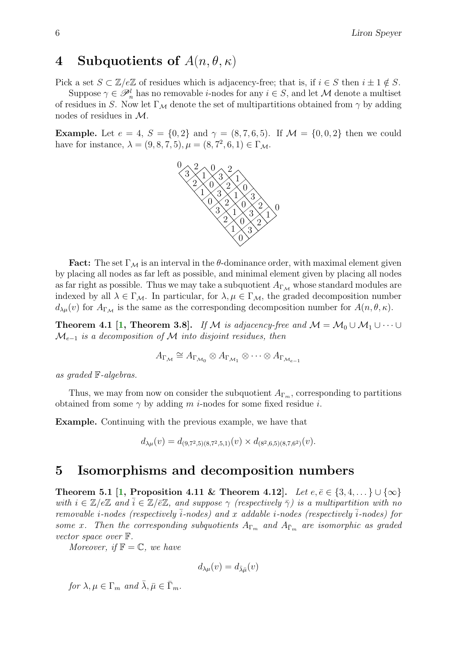## <span id="page-5-0"></span>4 Subquotients of  $A(n, \theta, \kappa)$

Pick a set  $S \subset \mathbb{Z}/e\mathbb{Z}$  of residues which is adjacency-free; that is, if  $i \in S$  then  $i \pm 1 \notin S$ .

Suppose  $\gamma \in \mathscr{P}_n^l$  has no removable *i*-nodes for any  $i \in S$ , and let M denote a multiset of residues in S. Now let  $\Gamma_M$  denote the set of multipartitions obtained from  $\gamma$  by adding nodes of residues in M.

**Example.** Let  $e = 4$ ,  $S = \{0, 2\}$  and  $\gamma = (8, 7, 6, 5)$ . If  $\mathcal{M} = \{0, 0, 2\}$  then we could have for instance,  $\lambda = (9, 8, 7, 5), \mu = (8, 7^2, 6, 1) \in \Gamma_{\mathcal{M}}$ .



**Fact:** The set  $\Gamma_M$  is an interval in the  $\theta$ -dominance order, with maximal element given by placing all nodes as far left as possible, and minimal element given by placing all nodes as far right as possible. Thus we may take a subquotient  $A_{\Gamma_M}$  whose standard modules are indexed by all  $\lambda \in \Gamma_{\mathcal{M}}$ . In particular, for  $\lambda, \mu \in \Gamma_{\mathcal{M}}$ , the graded decomposition number  $d_{\lambda\mu}(v)$  for  $A_{\Gamma_{\mathcal{M}}}$  is the same as the corresponding decomposition number for  $A(n, \theta, \kappa)$ .

**Theorem 4.1 [\[1,](#page-10-5) Theorem 3.8].** If M is adjacency-free and  $M = M_0 \cup M_1 \cup \cdots \cup$  $\mathcal{M}_{e-1}$  is a decomposition of  $\mathcal M$  into disjoint residues, then

$$
A_{\Gamma_{\mathcal{M}}} \cong A_{\Gamma_{\mathcal{M}_0}} \otimes A_{\Gamma_{\mathcal{M}_1}} \otimes \cdots \otimes A_{\Gamma_{\mathcal{M}_{e-1}}}
$$

as graded F-algebras.

Thus, we may from now on consider the subquotient  $A_{\Gamma_m}$ , corresponding to partitions obtained from some  $\gamma$  by adding m *i*-nodes for some fixed residue *i*.

Example. Continuing with the previous example, we have that

$$
d_{\lambda\mu}(v) = d_{(9,7^2,5)(8,7^2,5,1)}(v) \times d_{(8^2,6,5)(8,7,6^2)}(v).
$$

## 5 Isomorphisms and decomposition numbers

Theorem 5.1 [\[1,](#page-10-5) Proposition 4.11 & Theorem 4.12]. Let  $e, \bar{e} \in \{3, 4, ...\} \cup \{\infty\}$ with  $i \in \mathbb{Z}/e\mathbb{Z}$  and  $\overline{i} \in \mathbb{Z}/\overline{e}\mathbb{Z}$ , and suppose  $\gamma$  (respectively  $\overline{\gamma}$ ) is a multipartition with no removable *i-nodes* (respectively  $\overline{i}$ -nodes) and x addable *i-nodes* (respectively  $\overline{i}$ -nodes) for some x. Then the corresponding subquotients  $A_{\Gamma_m}$  and  $A_{\bar{\Gamma}_m}$  are isomorphic as graded vector space over F.

Moreover, if  $\mathbb{F} = \mathbb{C}$ , we have

$$
d_{\lambda\mu}(v)=d_{\bar{\lambda}\bar{\mu}}(v)
$$

for  $\lambda, \mu \in \Gamma_m$  and  $\bar{\lambda}, \bar{\mu} \in \bar{\Gamma}_m$ .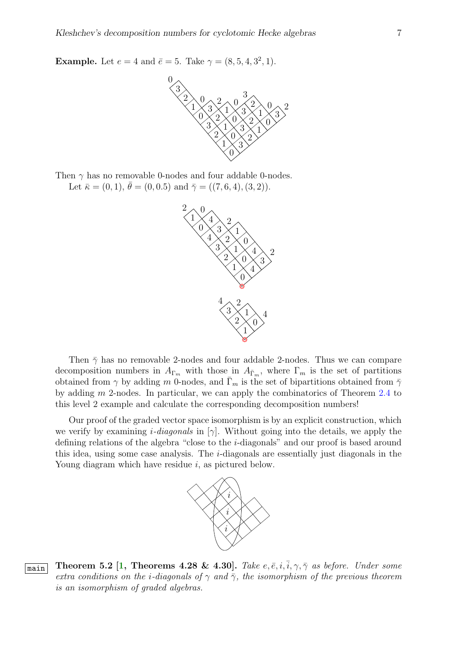<span id="page-6-1"></span>**Example.** Let  $e = 4$  and  $\bar{e} = 5$ . Take  $\gamma = (8, 5, 4, 3^2, 1)$ .



Then  $\gamma$  has no removable 0-nodes and four addable 0-nodes. Let  $\bar{\kappa} = (0, 1), \bar{\theta} = (0, 0.5)$  and  $\bar{\gamma} = ((7, 6, 4), (3, 2)).$ 



Then  $\bar{\gamma}$  has no removable 2-nodes and four addable 2-nodes. Thus we can compare decomposition numbers in  $A_{\Gamma_m}$  with those in  $A_{\overline{\Gamma}_m}$ , where  $\Gamma_m$  is the set of partitions obtained from  $\gamma$  by adding m 0-nodes, and  $\bar{\Gamma}_m$  is the set of bipartitions obtained from  $\bar{\gamma}$ by adding m 2-nodes. In particular, we can apply the combinatorics of Theorem [2.4](#page-2-0) to this level 2 example and calculate the corresponding decomposition numbers!

Our proof of the graded vector space isomorphism is by an explicit construction, which we verify by examining *i-diagonals* in [γ]. Without going into the details, we apply the defining relations of the algebra "close to the i-diagonals" and our proof is based around this idea, using some case analysis. The i-diagonals are essentially just diagonals in the Young diagram which have residue *i*, as pictured below.



<span id="page-6-0"></span>**Theorem 5.2 [\[1,](#page-10-5) Theorems 4.28 & 4.30].** Take  $e, \overline{e}, i, \overline{i}, \gamma, \overline{\gamma}$  as before. Under some extra conditions on the *i*-diagonals of  $\gamma$  and  $\bar{\gamma}$ , the isomorphism of the previous theorem is an isomorphism of graded algebras.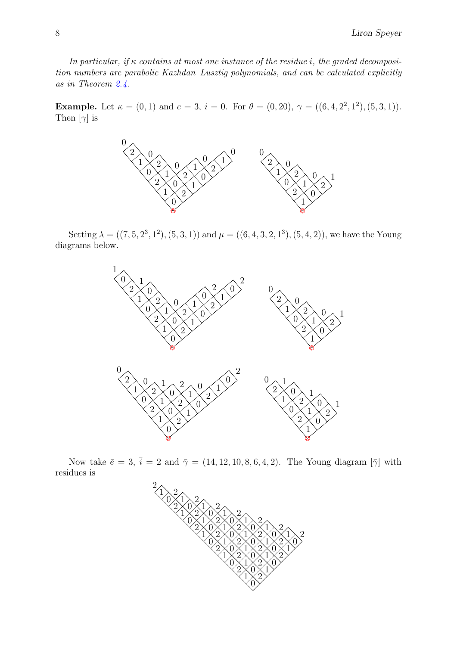In particular, if  $\kappa$  contains at most one instance of the residue i, the graded decomposition numbers are parabolic Kazhdan–Lusztig polynomials, and can be calculated explicitly as in Theorem [2.4.](#page-2-0)

**Example.** Let  $\kappa = (0, 1)$  and  $e = 3$ ,  $i = 0$ . For  $\theta = (0, 20)$ ,  $\gamma = ((6, 4, 2^2, 1^2), (5, 3, 1))$ . Then  $[\gamma]$  is



Setting  $\lambda = ((7, 5, 2^3, 1^2), (5, 3, 1))$  and  $\mu = ((6, 4, 3, 2, 1^3), (5, 4, 2))$ , we have the Young diagrams below.



Now take  $\bar{e} = 3$ ,  $\bar{i} = 2$  and  $\bar{\gamma} = (14, 12, 10, 8, 6, 4, 2)$ . The Young diagram  $[\bar{\gamma}]$  with residues is

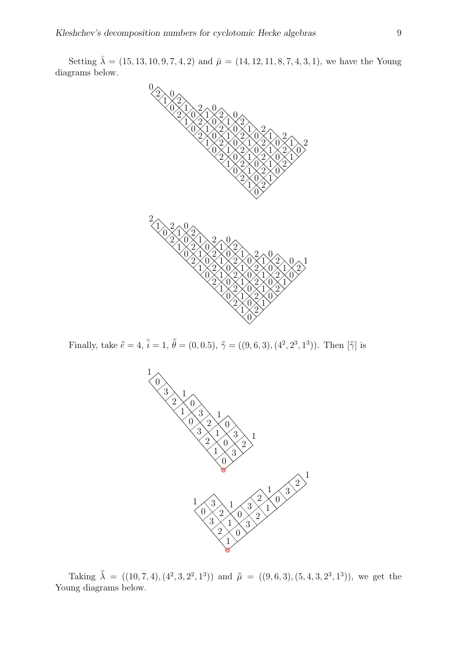Setting  $\bar{\lambda} = (15, 13, 10, 9, 7, 4, 2)$  and  $\bar{\mu} = (14, 12, 11, 8, 7, 4, 3, 1)$ , we have the Young diagrams below.



Finally, take  $\bar{\bar{e}} = 4$ ,  $\bar{\bar{i}} = 1$ ,  $\bar{\bar{\theta}} = (0, 0.5)$ ,  $\bar{\bar{\gamma}} = ((9, 6, 3), (4^2, 2^3, 1^3))$ . Then  $[\bar{\bar{\gamma}}]$  is



Taking  $\bar{\lambda} = ((10, 7, 4), (4^2, 3, 2^2, 1^3))$  and  $\bar{\mu} = ((9, 6, 3), (5, 4, 3, 2^3, 1^3))$ , we get the Young diagrams below.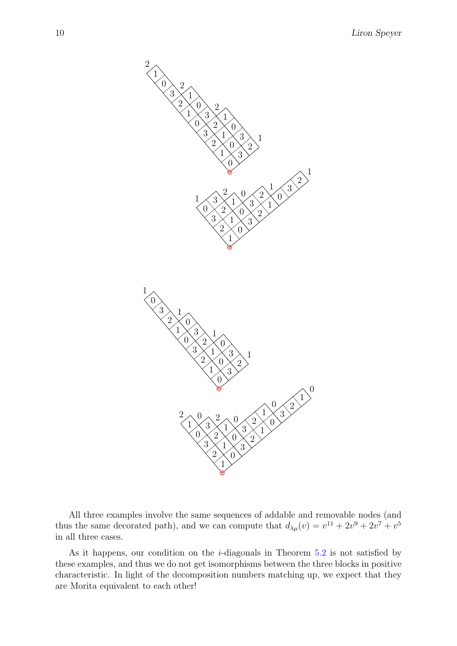

All three examples involve the same sequences of addable and removable nodes (and thus the same decorated path), and we can compute that  $d_{\lambda\mu}(v) = v^{11} + 2v^9 + 2v^7 + v^5$ in all three cases.

As it happens, our condition on the *i*-diagonals in Theorem  $5.2$  is not satisfied by these examples, and thus we do not get isomorphisms between the three blocks in positive characteristic. In light of the decomposition numbers matching up, we expect that they are Morita equivalent to each other!